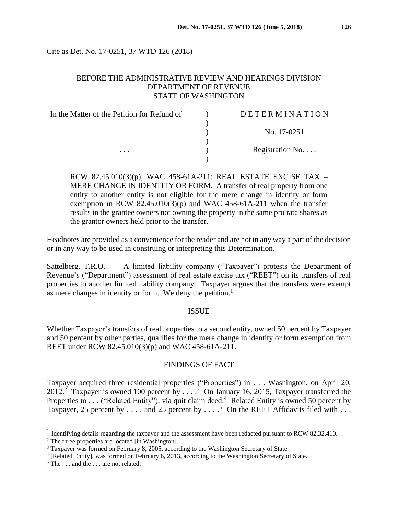Cite as Det. No. 17-0251, 37 WTD 126 (2018)

## BEFORE THE ADMINISTRATIVE REVIEW AND HEARINGS DIVISION DEPARTMENT OF REVENUE STATE OF WASHINGTON

| In the Matter of the Petition for Refund of<br>. | DETERMINATION            |
|--------------------------------------------------|--------------------------|
|                                                  |                          |
|                                                  | No. 17-0251              |
|                                                  | Registration No. $\dots$ |
|                                                  |                          |

RCW 82.45.010(3)(p); WAC 458-61A-211: REAL ESTATE EXCISE TAX – MERE CHANGE IN IDENTITY OR FORM. A transfer of real property from one entity to another entity is not eligible for the mere change in identity or form exemption in RCW  $82.45.010(3)(p)$  and WAC 458-61A-211 when the transfer results in the grantee owners not owning the property in the same pro rata shares as the grantor owners held prior to the transfer.

Headnotes are provided as a convenience for the reader and are not in any way a part of the decision or in any way to be used in construing or interpreting this Determination.

Sattelberg, T.R.O. – A limited liability company ("Taxpayer") protests the Department of Revenue's ("Department") assessment of real estate excise tax ("REET") on its transfers of real properties to another limited liability company. Taxpayer argues that the transfers were exempt as mere changes in identity or form. We deny the petition.<sup>1</sup>

#### ISSUE

Whether Taxpayer's transfers of real properties to a second entity, owned 50 percent by Taxpayer and 50 percent by other parties, qualifies for the mere change in identity or form exemption from REET under RCW 82.45.010(3)(p) and WAC 458-61A-211.

#### FINDINGS OF FACT

Taxpayer acquired three residential properties ("Properties") in . . . Washington, on April 20, 2012.<sup>2</sup> Taxpayer is owned 100 percent by  $\ldots$  <sup>3</sup> On January 16, 2015, Taxpayer transferred the Properties to ... ("Related Entity"), via quit claim deed.<sup>4</sup> Related Entity is owned 50 percent by Taxpayer, 25 percent by  $\dots$ , and 25 percent by  $\dots$ .<sup>5</sup> On the REET Affidavits filed with  $\dots$ 

 $\overline{a}$ 

<sup>&</sup>lt;sup>1</sup> Identifying details regarding the taxpayer and the assessment have been redacted pursuant to RCW 82.32.410.

<sup>2</sup> The three properties are located [in Washington].

<sup>&</sup>lt;sup>3</sup> Taxpayer was formed on February 8, 2005, according to the Washington Secretary of State.

<sup>&</sup>lt;sup>4</sup> [Related Entity], was formed on February 6, 2013, according to the Washington Secretary of State.

<sup>&</sup>lt;sup>5</sup> The . . . and the . . . are not related.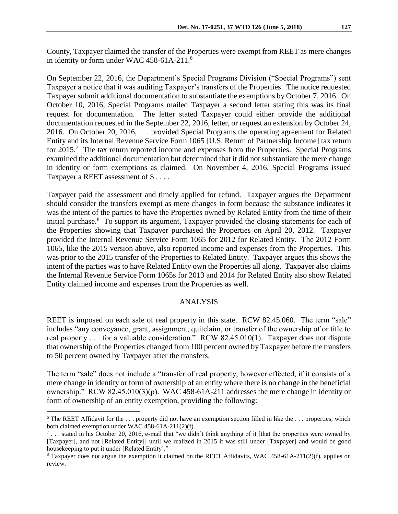County, Taxpayer claimed the transfer of the Properties were exempt from REET as mere changes in identity or form under WAC 458-61A-211.<sup>6</sup>

On September 22, 2016, the Department's Special Programs Division ("Special Programs") sent Taxpayer a notice that it was auditing Taxpayer's transfers of the Properties. The notice requested Taxpayer submit additional documentation to substantiate the exemptions by October 7, 2016. On October 10, 2016, Special Programs mailed Taxpayer a second letter stating this was its final request for documentation. The letter stated Taxpayer could either provide the additional documentation requested in the September 22, 2016, letter, or request an extension by October 24, 2016. On October 20, 2016, . . . provided Special Programs the operating agreement for Related Entity and its Internal Revenue Service Form 1065 [U.S. Return of Partnership Income] tax return for 2015.<sup>7</sup> The tax return reported income and expenses from the Properties. Special Programs examined the additional documentation but determined that it did not substantiate the mere change in identity or form exemptions as claimed. On November 4, 2016, Special Programs issued Taxpayer a REET assessment of \$ . . . .

Taxpayer paid the assessment and timely applied for refund. Taxpayer argues the Department should consider the transfers exempt as mere changes in form because the substance indicates it was the intent of the parties to have the Properties owned by Related Entity from the time of their initial purchase.<sup>8</sup> To support its argument, Taxpayer provided the closing statements for each of the Properties showing that Taxpayer purchased the Properties on April 20, 2012. Taxpayer provided the Internal Revenue Service Form 1065 for 2012 for Related Entity. The 2012 Form 1065, like the 2015 version above, also reported income and expenses from the Properties. This was prior to the 2015 transfer of the Properties to Related Entity. Taxpayer argues this shows the intent of the parties was to have Related Entity own the Properties all along. Taxpayer also claims the Internal Revenue Service Form 1065s for 2013 and 2014 for Related Entity also show Related Entity claimed income and expenses from the Properties as well.

## ANALYSIS

REET is imposed on each sale of real property in this state. RCW 82.45.060. The term "sale" includes "any conveyance, grant, assignment, quitclaim, or transfer of the ownership of or title to real property . . . for a valuable consideration." RCW 82.45.010(1). Taxpayer does not dispute that ownership of the Properties changed from 100 percent owned by Taxpayer before the transfers to 50 percent owned by Taxpayer after the transfers.

The term "sale" does not include a "transfer of real property, however effected, if it consists of a mere change in identity or form of ownership of an entity where there is no change in the beneficial ownership." RCW 82.45.010(3)(p). WAC 458-61A-211 addresses the mere change in identity or form of ownership of an entity exemption, providing the following:

 $\overline{a}$ 

 $6$  The REET Affidavit for the  $\dots$  property did not have an exemption section filled in like the  $\dots$  properties, which both claimed exemption under WAC 458-61A-211(2)(f).

 $^7$ ... stated in his October 20, 2016, e-mail that "we didn't think anything of it [that the properties were owned by [Taxpayer], and not [Related Entity]] until we realized in 2015 it was still under [Taxpayer] and would be good housekeeping to put it under [Related Entity]."

<sup>8</sup> Taxpayer does not argue the exemption it claimed on the REET Affidavits, WAC 458-61A-211(2)(f), applies on review.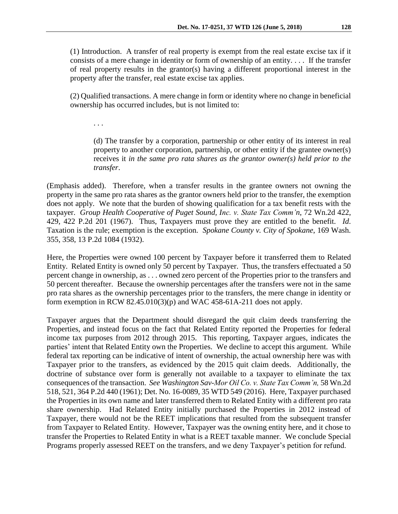(1) Introduction. A transfer of real property is exempt from the real estate excise tax if it consists of a mere change in identity or form of ownership of an entity. . . . If the transfer of real property results in the grantor(s) having a different proportional interest in the property after the transfer, real estate excise tax applies.

(2) Qualified transactions. A mere change in form or identity where no change in beneficial ownership has occurred includes, but is not limited to:

. . .

(d) The transfer by a corporation, partnership or other entity of its interest in real property to another corporation, partnership, or other entity if the grantee owner(s) receives it *in the same pro rata shares as the grantor owner(s) held prior to the transfer*.

(Emphasis added). Therefore, when a transfer results in the grantee owners not owning the property in the same pro rata shares as the grantor owners held prior to the transfer, the exemption does not apply. We note that the burden of showing qualification for a tax benefit rests with the taxpayer. *Group Health Cooperative of Puget Sound, Inc. v. State Tax Comm'n*, 72 Wn.2d 422, 429, 422 P.2d 201 (1967). Thus, Taxpayers must prove they are entitled to the benefit. *Id*. Taxation is the rule; exemption is the exception. *Spokane County v. City of Spokane*, 169 Wash. 355, 358, 13 P.2d 1084 (1932).

Here, the Properties were owned 100 percent by Taxpayer before it transferred them to Related Entity. Related Entity is owned only 50 percent by Taxpayer. Thus, the transfers effectuated a 50 percent change in ownership, as . . . owned zero percent of the Properties prior to the transfers and 50 percent thereafter. Because the ownership percentages after the transfers were not in the same pro rata shares as the ownership percentages prior to the transfers, the mere change in identity or form exemption in RCW 82.45.010(3)(p) and WAC 458-61A-211 does not apply.

Taxpayer argues that the Department should disregard the quit claim deeds transferring the Properties, and instead focus on the fact that Related Entity reported the Properties for federal income tax purposes from 2012 through 2015. This reporting, Taxpayer argues, indicates the parties' intent that Related Entity own the Properties. We decline to accept this argument. While federal tax reporting can be indicative of intent of ownership, the actual ownership here was with Taxpayer prior to the transfers, as evidenced by the 2015 quit claim deeds. Additionally, the doctrine of substance over form is generally not available to a taxpayer to eliminate the tax consequences of the transaction. *See Washington Sav-Mor Oil Co. v. State Tax Comm'n,* 58 Wn.2d 518, 521, 364 P.2d 440 (1961); Det. No. 16-0089, 35 WTD 549 (2016). Here, Taxpayer purchased the Properties in its own name and later transferred them to Related Entity with a different pro rata share ownership. Had Related Entity initially purchased the Properties in 2012 instead of Taxpayer, there would not be the REET implications that resulted from the subsequent transfer from Taxpayer to Related Entity. However, Taxpayer was the owning entity here, and it chose to transfer the Properties to Related Entity in what is a REET taxable manner. We conclude Special Programs properly assessed REET on the transfers, and we deny Taxpayer's petition for refund.